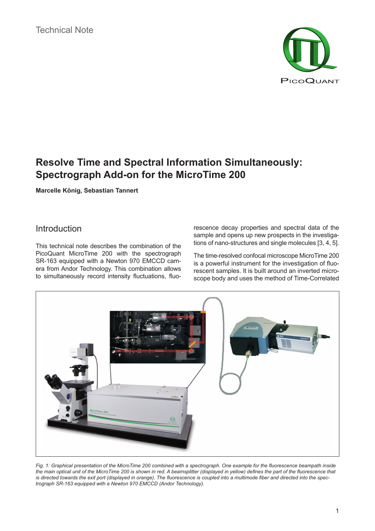

# **Resolve Time and Spectral Information Simultaneously: Spectrograph Add-on for the MicroTime 200**

**Marcelle König, Sebastian Tannert**

### Introduction

This technical note describes the combination of the PicoQuant MicroTime 200 with the spectrograph SR-163 equipped with a Newton 970 EMCCD camera from Andor Technology. This combination allows to simultaneously record intensity fluctuations, fluorescence decay properties and spectral data of the sample and opens up new prospects in the investigations of nano-structures and single molecules [3, 4, 5].

The time-resolved confocal microscope MicroTime 200 is a powerful instrument for the investigation of fluorescent samples. It is built around an inverted microscope body and uses the method of Time-Correlated



*Fig. 1: Graphical presentation of the MicroTime 200 combined with a spectrograph. One example for the fluorescence beampath inside the main optical unit of the MicroTime 200 is shown in red. A beamsplitter (displayed in yellow) defines the part of the fluorescence that is directed towards the exit port (displayed in orange). The fluorescence is coupled into a multimode fiber and directed into the spectrograph SR-163 equipped with a Newton 970 EMCCD (Andor Technology).*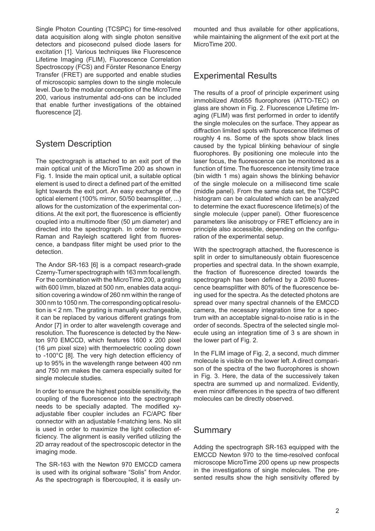Single Photon Counting (TCSPC) for time-resolved data acquisition along with single photon sensitive detectors and picosecond pulsed diode lasers for excitation [1]. Various techniques like Fluorescence Lifetime Imaging (FLIM), Fluorescence Correlation Spectroscopy (FCS) and Förster Resonance Energy Transfer (FRET) are supported and enable studies of microscopic samples down to the single molecule level. Due to the modular conception of the MicroTime 200, various instrumental add-ons can be included that enable further investigations of the obtained fluorescence [2].

## System Description

The spectrograph is attached to an exit port of the main optical unit of the MicroTime 200 as shown in Fig. 1. Inside the main optical unit, a suitable optical element is used to direct a defined part of the emitted light towards the exit port. An easy exchange of the optical element (100% mirror, 50/50 beamsplitter, ...) allows for the customization of the experimental conditions. At the exit port, the fluorescence is efficiently coupled into a multimode fiber (50 µm diameter) and directed into the spectrograph. In order to remove Raman and Rayleigh scattered light from fluorescence, a bandpass filter might be used prior to the detection.

The Andor SR-163 [6] is a compact research-grade Czerny-Turner spectrograph with 163 mm focal length. For the combination with the MicroTime 200, a grating with 600 l/mm, blazed at 500 nm, enables data acquisition covering a window of 260 nm within the range of 300 nm to 1050 nm. The corresponding optical resolution is < 2 nm. The grating is manually exchangeable, it can be replaced by various different gratings from Andor [7] in order to alter wavelength coverage and resolution. The fluorescence is detected by the Newton 970 EMCCD, which features 1600 x 200 pixel (16 µm pixel size) with thermoelectric cooling down to -100°C [8]. The very high detection efficiency of up to 95% in the wavelength range between 400 nm and 750 nm makes the camera especially suited for single molecule studies.

In order to ensure the highest possible sensitivity, the coupling of the fluorescence into the spectrograph needs to be specially adapted. The modified xyadjustable fiber coupler includes an FC/APC fiber connector with an adjustable f-matching lens. No slit is used in order to maximize the light collection efficiency. The alignment is easily verified utilizing the 2D array readout of the spectroscopic detector in the imaging mode.

The SR-163 with the Newton 970 EMCCD camera is used with its original software "Solis" from Andor. As the spectrograph is fibercoupled, it is easily unmounted and thus available for other applications, while maintaining the alignment of the exit port at the MicroTime 200.

#### Experimental Results

The results of a proof of principle experiment using immobilized Atto655 fluorophores (ATTO-TEC) on glass are shown in Fig. 2. Fluorescence Lifetime Imaging (FLIM) was first performed in order to identify the single molecules on the surface. They appear as diffraction limited spots with fluorescence lifetimes of roughly 4 ns. Some of the spots show black lines caused by the typical blinking behaviour of single fluorophores. By positioning one molecule into the laser focus, the fluorescence can be monitored as a function of time. The fluorescence intensity time trace (bin width 1 ms) again shows the blinking behavior of the single molecule on a millisecond time scale (middle panel). From the same data set, the TCSPC histogram can be calculated which can be analyzed to determine the exact fluorescence lifetime(s) of the single molecule (upper panel). Other fluorescence parameters like anisotropy or FRET efficiency are in principle also accessible, depending on the configuration of the experimental setup.

With the spectrograph attached, the fluorescence is split in order to simultaneously obtain fluorescence properties and spectral data. In the shown example, the fraction of fluorescence directed towards the spectrograph has been defined by a 20/80 fluorescence beamsplitter with 80% of the fluorescence be‑ ing used for the spectra. As the detected photons are spread over many spectral channels of the EMCCD camera, the necessary integration time for a spectrum with an acceptable signal-to-noise ratio is in the order of seconds. Spectra of the selected single molecule using an integration time of 3 s are shown in the lower part of Fig. 2.

In the FLIM image of Fig. 2, a second, much dimmer molecule is visible on the lower left. A direct comparison of the spectra of the two fluorophores is shown in Fig. 3. Here, the data of the successively taken spectra are summed up and normalized. Evidently, even minor differences in the spectra of two different molecules can be directly observed.

#### Summary

Adding the spectrograph SR-163 equipped with the EMCCD Newton 970 to the time-resolved confocal microscope MicroTime 200 opens up new prospects in the investigations of single molecules. The presented results show the high sensitivity offered by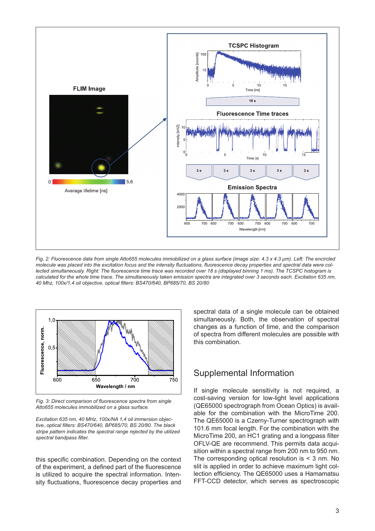

*Fig. 2: Fluorescence data from single Atto655 molecules immobilized on a glass surface (image size: 4.3 x 4.3 µm). Left: The encircled molecule was placed into the excitation focus and the intensity fluctuations, fluorescence decay properties and spectral data were collected simultaneously. Right: The fluorescence time trace was recorded over 18 s (displayed binning 1 ms). The TCSPC histogram is calculated for the whole time trace. The simultaneously taken emission spectra are integrated over 3 seconds each. Excitation 635 nm, 40 Mhz, 100x/1,4 oil objective, optical filters: BS470/640, BP685/70, BS 20/80*



*Fig. 3: Direct comparison of fluorescence spectra from single Atto655 molecules immobilized on a glass surface.* 

*Excitation 635 nm, 40 MHz, 100x/NA 1,4 oil immersion objective, optical filters: BS470/640, BP685/70, BS 20/80. The black stripe pattern indicates the spectral range rejected by the utilized spectral bandpass filter.*

this specific combination. Depending on the context of the experiment, a defined part of the fluorescence is utilized to acquire the spectral information. Intensity fluctuations, fluorescence decay properties and spectral data of a single molecule can be obtained simultaneously. Both, the observation of spectral changes as a function of time, and the comparison of spectra from different molecules are possible with this combination.

### Supplemental Information

If single molecule sensitivity is not required, a cost-saving version for low-light level applications (QE65000 spectrograph from Ocean Optics) is avail‑ able for the combination with the MicroTime 200. The QE65000 is a Czerny-Turner spectrograph with 101.6 mm focal length. For the combination with the MicroTime 200, an HC1 grating and a longpass filter OFLV-QE are recommend. This permits data acquisition within a spectral range from 200 nm to 950 nm. The corresponding optical resolution is  $<$  3 nm. No slit is applied in order to achieve maximum light collection efficiency. The QE65000 uses a Hamamatsu FFT-CCD detector, which serves as spectroscopic